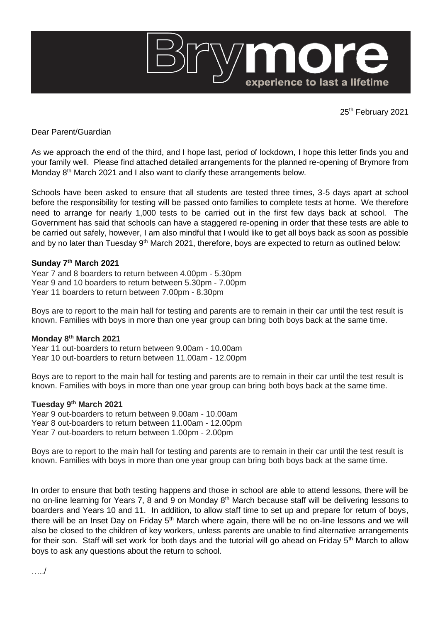

25<sup>th</sup> February 2021

Dear Parent/Guardian

As we approach the end of the third, and I hope last, period of lockdown, I hope this letter finds you and your family well. Please find attached detailed arrangements for the planned re-opening of Brymore from Monday 8<sup>th</sup> March 2021 and I also want to clarify these arrangements below.

Schools have been asked to ensure that all students are tested three times, 3-5 days apart at school before the responsibility for testing will be passed onto families to complete tests at home. We therefore need to arrange for nearly 1,000 tests to be carried out in the first few days back at school. The Government has said that schools can have a staggered re-opening in order that these tests are able to be carried out safely, however, I am also mindful that I would like to get all boys back as soon as possible and by no later than Tuesday 9<sup>th</sup> March 2021, therefore, boys are expected to return as outlined below:

## **Sunday 7th March 2021**

Year 7 and 8 boarders to return between 4.00pm - 5.30pm Year 9 and 10 boarders to return between 5.30pm - 7.00pm Year 11 boarders to return between 7.00pm - 8.30pm

Boys are to report to the main hall for testing and parents are to remain in their car until the test result is known. Families with boys in more than one year group can bring both boys back at the same time.

## **Monday 8th March 2021**

Year 11 out-boarders to return between 9.00am - 10.00am Year 10 out-boarders to return between 11.00am - 12.00pm

Boys are to report to the main hall for testing and parents are to remain in their car until the test result is known. Families with boys in more than one year group can bring both boys back at the same time.

## **Tuesday 9th March 2021**

Year 9 out-boarders to return between 9.00am - 10.00am Year 8 out-boarders to return between 11.00am - 12.00pm Year 7 out-boarders to return between 1.00pm - 2.00pm

Boys are to report to the main hall for testing and parents are to remain in their car until the test result is known. Families with boys in more than one year group can bring both boys back at the same time.

In order to ensure that both testing happens and those in school are able to attend lessons, there will be no on-line learning for Years 7, 8 and 9 on Monday 8<sup>th</sup> March because staff will be delivering lessons to boarders and Years 10 and 11. In addition, to allow staff time to set up and prepare for return of boys, there will be an Inset Day on Friday 5<sup>th</sup> March where again, there will be no on-line lessons and we will also be closed to the children of key workers, unless parents are unable to find alternative arrangements for their son. Staff will set work for both days and the tutorial will go ahead on Friday 5<sup>th</sup> March to allow boys to ask any questions about the return to school.